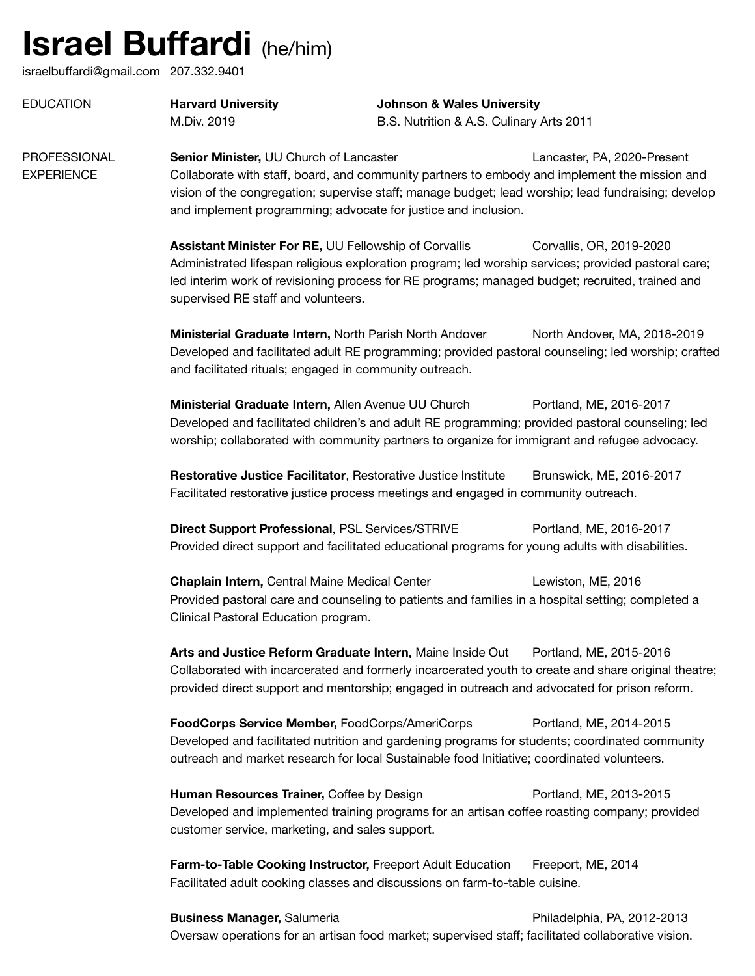## **Israel Buffardi** (he/him)

israelbuffardi@gmail.com 207.332.9401

| <b>EDUCATION</b> | <b>Harvard University</b> | <b>Johnson &amp; Wales University</b> |
|------------------|---------------------------|---------------------------------------|
|                  | M.Div. 2019               | B.S. Nutrition & A.S. Culinary        |

B.S. Nutrition & A.S. Culinary Arts 2011

**PROFESSIONAL Senior Minister, UU Church of Lancaster Communisty Control Cancaster, PA, 2020-Present** EXPERIENCE Collaborate with staff, board, and community partners to embody and implement the mission and vision of the congregation; supervise staff; manage budget; lead worship; lead fundraising; develop and implement programming; advocate for justice and inclusion.

> **Assistant Minister For RE, UU Fellowship of Corvallis Corvallis, OR, 2019-2020** Administrated lifespan religious exploration program; led worship services; provided pastoral care; led interim work of revisioning process for RE programs; managed budget; recruited, trained and supervised RE staff and volunteers.

**Ministerial Graduate Intern, North Parish North Andover** North Andover, MA, 2018-2019 Developed and facilitated adult RE programming; provided pastoral counseling; led worship; crafted and facilitated rituals; engaged in community outreach.

**Ministerial Graduate Intern, Allen Avenue UU Church Contant Contant AVE, 2016-2017** Developed and facilitated children's and adult RE programming; provided pastoral counseling; led worship; collaborated with community partners to organize for immigrant and refugee advocacy.

**Restorative Justice Facilitator**, Restorative Justice Institute Brunswick, ME, 2016-2017 Facilitated restorative justice process meetings and engaged in community outreach.

**Direct Support Professional, PSL Services/STRIVE Portland, ME, 2016-2017** Provided direct support and facilitated educational programs for young adults with disabilities. 

**Chaplain Intern, Central Maine Medical Center** *Contenting Lewiston, ME, 2016* Provided pastoral care and counseling to patients and families in a hospital setting; completed a Clinical Pastoral Education program.

**Arts and Justice Reform Graduate Intern,** Maine Inside Out Portland, ME, 2015-2016 Collaborated with incarcerated and formerly incarcerated youth to create and share original theatre; provided direct support and mentorship; engaged in outreach and advocated for prison reform.

**FoodCorps Service Member, FoodCorps/AmeriCorps Portland, ME, 2014-2015** Developed and facilitated nutrition and gardening programs for students; coordinated community outreach and market research for local Sustainable food Initiative; coordinated volunteers.

**Human Resources Trainer, Coffee by Design Trainer Contract Contract Arms Portland, ME, 2013-2015** Developed and implemented training programs for an artisan coffee roasting company; provided customer service, marketing, and sales support.

**Farm-to-Table Cooking Instructor, Freeport Adult Education Freeport, ME, 2014** Facilitated adult cooking classes and discussions on farm-to-table cuisine.

**Business Manager, Salumeria Business Manager, Salumeria Philadelphia, PA, 2012-2013** Oversaw operations for an artisan food market; supervised staff; facilitated collaborative vision.